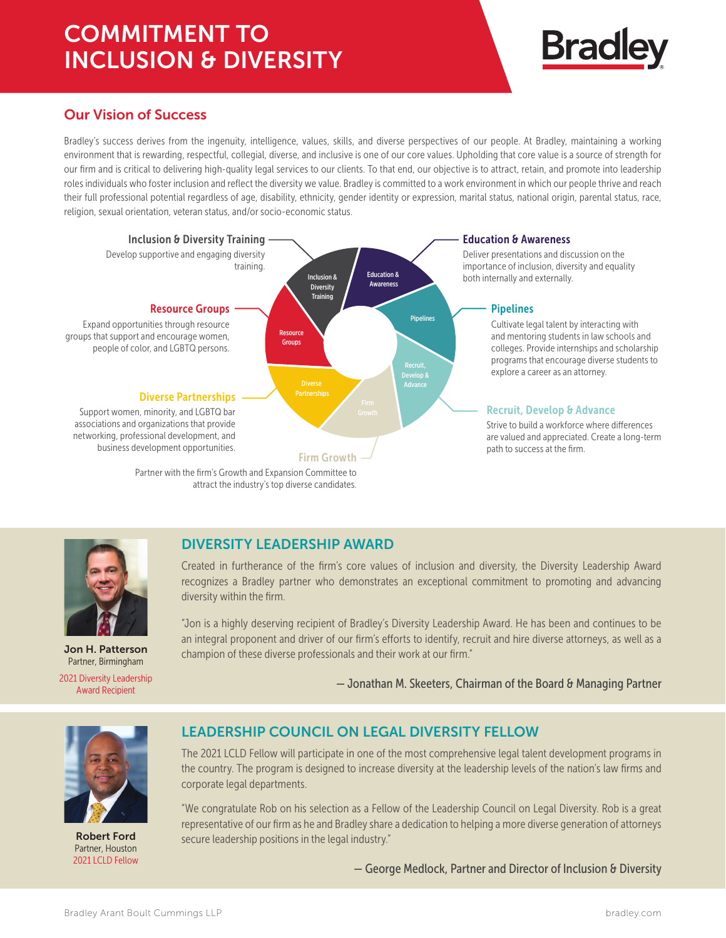# COMMITMENT TO INCLUSION & DIVERSITY



## Our Vision of Success

Bradley's success derives from the ingenuity, intelligence, values, skills, and diverse perspectives of our people. At Bradley, maintaining a working environment that is rewarding, respectful, collegial, diverse, and inclusive is one of our core values. Upholding that core value is a source of strength for our firm and is critical to delivering high-quality legal services to our clients. To that end, our objective is to attract, retain, and promote into leadership roles individuals who foster inclusion and reflect the diversity we value. Bradley is committed to a work environment in which our people thrive and reach their full professional potential regardless of age, disability, ethnicity, gender identity or expression, marital status, national origin, parental status, race, religion, sexual orientation, veteran status, and/or socio-economic status.



Jon H. Patterson Partner, Birmingham 2021 Diversity Leadership Award Recipient

#### DIVERSITY LEADERSHIP AWARD

Created in furtherance of the firm's core values of inclusion and diversity, the Diversity Leadership Award recognizes a Bradley partner who demonstrates an exceptional commitment to promoting and advancing diversity within the firm.

"Jon is a highly deserving recipient of Bradley's Diversity Leadership Award. He has been and continues to be an integral proponent and driver of our firm's efforts to identify, recruit and hire diverse attorneys, as well as a champion of these diverse professionals and their work at our firm."

— Jonathan M. Skeeters, Chairman of the Board & Managing Partner



Robert Ford Partner, Houston 2021 LCLD Fellow

## LEADERSHIP COUNCIL ON LEGAL DIVERSITY FELLOW

The 2021 LCLD Fellow will participate in one of the most comprehensive legal talent development programs in the country. The program is designed to increase diversity at the leadership levels of the nation's law firms and corporate legal departments.

"We congratulate Rob on his selection as a Fellow of the Leadership Council on Legal Diversity. Rob is a great representative of our firm as he and Bradley share a dedication to helping a more diverse generation of attorneys secure leadership positions in the legal industry."

— George Medlock, Partner and Director of Inclusion & Diversity